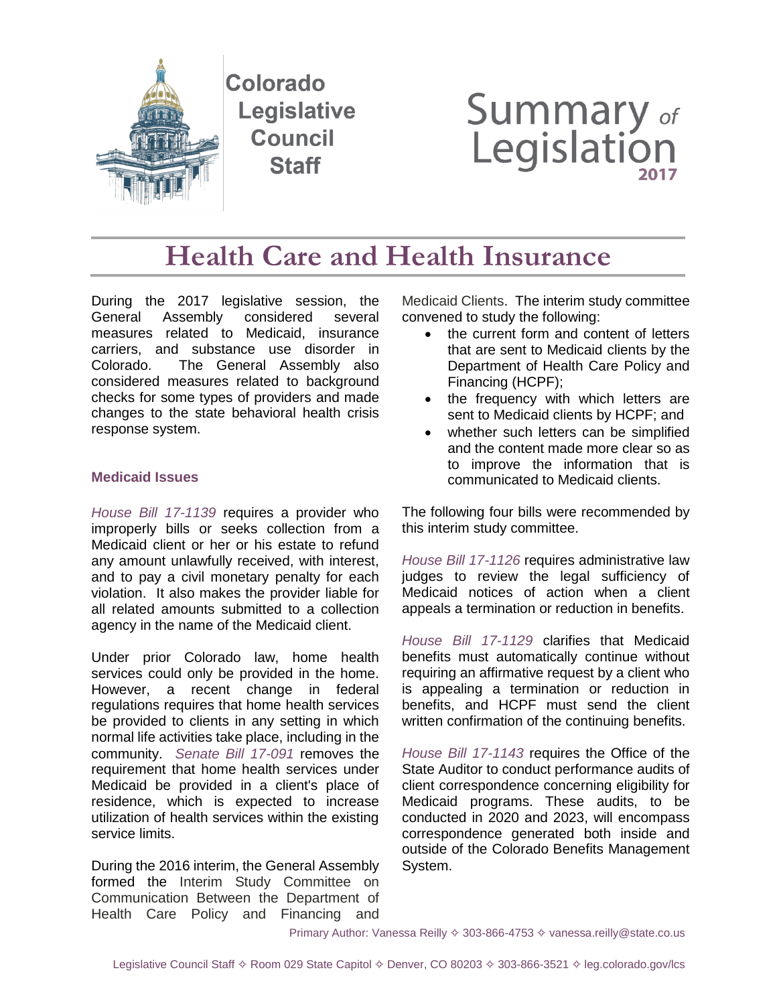

# **Summary of**<br>Legislation

## **Health Care and Health Insurance**

During the 2017 legislative session, the General Assembly considered several measures related to Medicaid, insurance carriers, and substance use disorder in Colorado. The General Assembly also considered measures related to background checks for some types of providers and made changes to the state behavioral health crisis response system.

#### **Medicaid Issues**

*[House Bill 17-1139](https://leg.colorado.gov/bills/hb17-1139)* requires a provider who improperly bills or seeks collection from a Medicaid client or her or his estate to refund any amount unlawfully received, with interest, and to pay a civil monetary penalty for each violation. It also makes the provider liable for all related amounts submitted to a collection agency in the name of the Medicaid client.

Under prior Colorado law, home health services could only be provided in the home. However, a recent change in federal regulations requires that home health services be provided to clients in any setting in which normal life activities take place, including in the community. *[Senate Bill 17-091](https://leg.colorado.gov/bills/sb17-091)* removes the requirement that home health services under Medicaid be provided in a client's place of residence, which is expected to increase utilization of health services within the existing service limits.

During the 2016 interim, the General Assembly formed the Interim Study Committee on Communication Between the Department of Health Care Policy and Financing and

Medicaid Clients. The interim study committee convened to study the following:

- the current form and content of letters that are sent to Medicaid clients by the Department of Health Care Policy and Financing (HCPF);
- the frequency with which letters are sent to Medicaid clients by HCPF; and
- whether such letters can be simplified and the content made more clear so as to improve the information that is communicated to Medicaid clients.

The following four bills were recommended by this interim study committee.

*[House Bill 17-1126](https://leg.colorado.gov/bills/hb17-1126)* requires administrative law judges to review the legal sufficiency of Medicaid notices of action when a client appeals a termination or reduction in benefits.

*[House Bill 17-1129](https://leg.colorado.gov/bills/hb17-1129)* clarifies that Medicaid benefits must automatically continue without requiring an affirmative request by a client who is appealing a termination or reduction in benefits, and HCPF must send the client written confirmation of the continuing benefits.

*[House Bill 17-1143](https://leg.colorado.gov/bills/hb17-1143)* requires the Office of the State Auditor to conduct performance audits of client correspondence concerning eligibility for Medicaid programs. These audits, to be conducted in 2020 and 2023, will encompass correspondence generated both inside and outside of the Colorado Benefits Management System.

Primary Author: Vanessa Reilly  $\diamond$  303-866-4753  $\diamond$  vanessa.reilly@state.co.us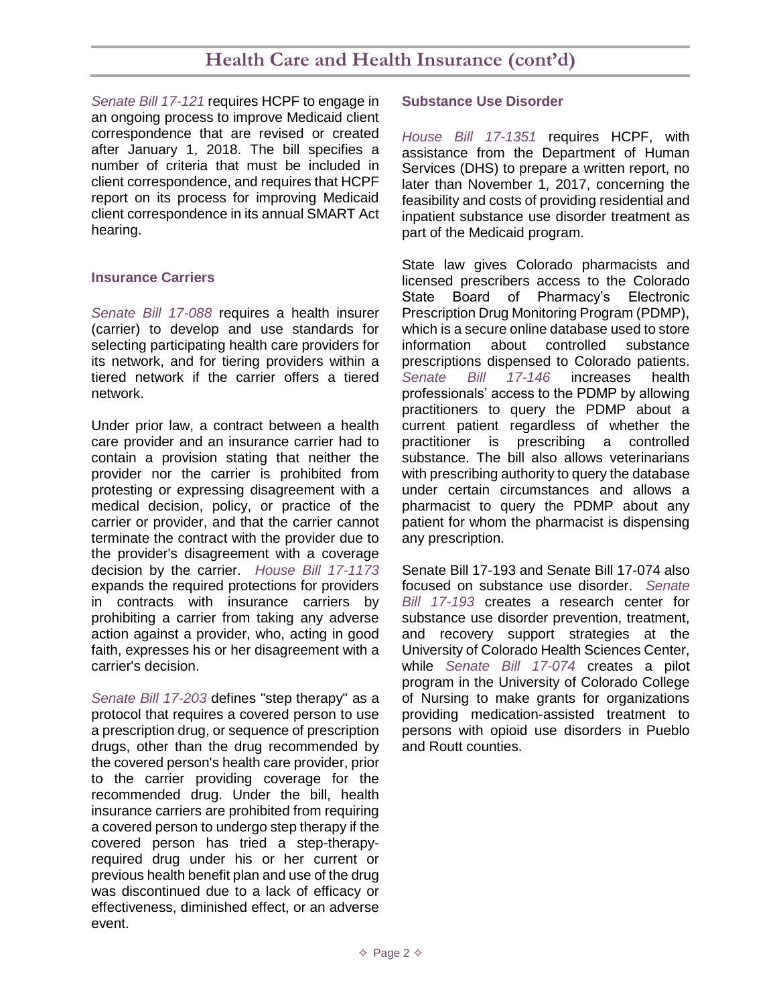### **Health Care and Health Insurance (cont'd)**

*[Senate Bill 17-121](https://leg.colorado.gov/bills/sb17-121)* requires HCPF to engage in an ongoing process to improve Medicaid client correspondence that are revised or created after January 1, 2018. The bill specifies a number of criteria that must be included in client correspondence, and requires that HCPF report on its process for improving Medicaid client correspondence in its annual SMART Act hearing.

#### **Insurance Carriers**

*[Senate Bill 17-088](https://leg.colorado.gov/bills/sb17-088)* requires a health insurer (carrier) to develop and use standards for selecting participating health care providers for its network, and for tiering providers within a tiered network if the carrier offers a tiered network.

Under prior law, a contract between a health care provider and an insurance carrier had to contain a provision stating that neither the provider nor the carrier is prohibited from protesting or expressing disagreement with a medical decision, policy, or practice of the carrier or provider, and that the carrier cannot terminate the contract with the provider due to the provider's disagreement with a coverage decision by the carrier. *[House Bill 17-1173](https://leg.colorado.gov/bills/hb17-1173)* expands the required protections for providers in contracts with insurance carriers by prohibiting a carrier from taking any adverse action against a provider, who, acting in good faith, expresses his or her disagreement with a carrier's decision.

*[Senate Bill 17-203](https://leg.colorado.gov/bills/sb17-203)* defines "step therapy" as a protocol that requires a covered person to use a prescription drug, or sequence of prescription drugs, other than the drug recommended by the covered person's health care provider, prior to the carrier providing coverage for the recommended drug. Under the bill, health insurance carriers are prohibited from requiring a covered person to undergo step therapy if the covered person has tried a step-therapyrequired drug under his or her current or previous health benefit plan and use of the drug was discontinued due to a lack of efficacy or effectiveness, diminished effect, or an adverse event.

#### **Substance Use Disorder**

*[House Bill 17-1351](https://leg.colorado.gov/bills/hb17-1351)* requires HCPF, with assistance from the Department of Human Services (DHS) to prepare a written report, no later than November 1, 2017, concerning the feasibility and costs of providing residential and inpatient substance use disorder treatment as part of the Medicaid program.

State law gives Colorado pharmacists and licensed prescribers access to the Colorado State Board of Pharmacy's Electronic Prescription Drug Monitoring Program (PDMP), which is a secure online database used to store information about controlled substance prescriptions dispensed to Colorado patients. *[Senate Bill 17-146](https://leg.colorado.gov/bills/sb17-146)* increases health professionals' access to the PDMP by allowing practitioners to query the PDMP about a current patient regardless of whether the practitioner is prescribing a controlled substance. The bill also allows veterinarians with prescribing authority to query the database under certain circumstances and allows a pharmacist to query the PDMP about any patient for whom the pharmacist is dispensing any prescription.

Senate Bill 17-193 and Senate Bill 17-074 also focused on substance use disorder. *[Senate](https://leg.colorado.gov/bills/sb17-193)  [Bill 17-193](https://leg.colorado.gov/bills/sb17-193)* creates a research center for substance use disorder prevention, treatment, and recovery support strategies at the University of Colorado Health Sciences Center, while *[Senate Bill 17-074](https://leg.colorado.gov/bills/sb17-074)* creates a pilot program in the University of Colorado College of Nursing to make grants for organizations providing medication-assisted treatment to persons with opioid use disorders in Pueblo and Routt counties.